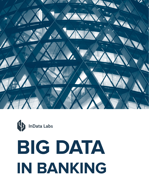



# **BIG DATA IN BANKING**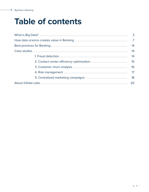۰

# **Table of contents**

| 3  |
|----|
|    |
| 14 |
| 14 |
| 14 |
| 15 |
| 16 |
| 17 |
| 18 |
| 20 |
|    |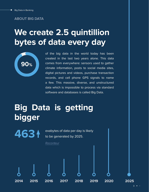#### **ABOUT BIG DATA**

### **We create 2.5 quintillion bytes of data every day**



**463**

of the big data in the world today has been created in the last two years alone. This data comes from everywhere: sensors used to gather climate information, posts to social media sites, digital pictures and videos, purchase transaction records, and cell phone GPS signals to name a few. This massive, diverse, and unstructured data which is impossible to process via standard software and databases is called Big Data.

# **Big Data is getting bigger**

exabytes of data per day is likely to be generated by 2025.



**2014 2015 2016 2017 2018 2019 2020 2025**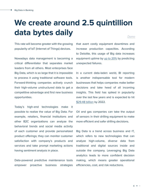# **We create around 2.5 quintillion data bytes daily** *[Domo](https://www.domo.com/learn/infographic/data-never-sleeps-5)*

This rate will become greater with the growing popularity of IoT (Internet of Things) devices.

Nowadays data management is becoming a critical differentiator that separates market leaders from all others. Most enterprises face Big Data, which is so large that it is impossible to process it using traditional software tools. Forward-thinking companies actively crunch their high-volume unstructured data to get a competitive advantage and find new business opportunities.

Today's high-end technologies make it possible to realize the value of Big Data. For example, retailers, financial institutions and other B2C organizations can analyze the behavioral trends and social media activity of each customer and provide personalized product offerings; they can monitor customer satisfaction with company's products and services and take prompt marketing actions having sentiment analysis in place.

Data-powered predictive maintenance tools empower proactive business strategies that avert costly equipment downtimes and increase production capacities. According to Deloitte, this usage of Big data increases equipment uptime by [up to 20%](https://www2.deloitte.com/content/dam/Deloitte/de/Documents/deloitte-analytics/Deloitte_Predictive-Maintenance_PositionPaper.pdf) by predicting unexpected failures.

In a current data-laden world, BI reporting is another indispensable tool for modern businesses that helps companies make better decisions and take heed of all incoming insights. This field has spiked in popularity over the last few years and is expected to hit [\\$29.48 billion](https://www.marketresearch.com/Stratistics-Market-Research-Consulting-v4058/Business-Intelligence-BI-Global-Outlook-10771683/) by 2022.

Oil and gas companies can take the output of sensors in their drilling equipment to make more efficient and safer drilling decisions.

Big Data is a trend across business and IT, which refers to new technologies that can analyze high-volume, diverse data from traditional and digital sources inside and outside the company. Leveraging Big Data analytics leads to more confident decision making, which means greater operational efficiencies, cost, and risk reductions.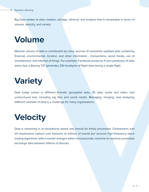Big Data relates to data creation, storage, retrieval, and analysis that is remarkable in terms of volume, velocity, and variety:

### **Volume**

Massive volume of data is contributed by many sources of constantly updated data containing financial, environmental, location, and other information - transactions, social media, use of smartphones, and Internet of things. For example, Facebook produces 4 new petabytes of data every day; a Boeing 737 generates 240 terabytes of flight data during a single flight.

# **Variety**

Data today comes in different formats: geospatial data, 3D data, audio and video, and unstructured text, including log files and social media. Managing, merging, and analyzing different varieties of data is a challenge for many organizations.

# **Velocity**

Data is streaming in at exceptional speed and should be timely processed. Clickstreams and ad impressions capture user behavior at millions of events per second; high-frequency stock trading algorithms reflect market changes within microseconds; machine-to-machine processes exchange data between billions of devices.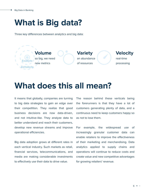### **What is Big data?**

Three key differences between analytics and big data:



### **What does this all mean?**

It means that globally, companies are turning to big data strategies to gain an edge over their competition. They realize that good business decisions are now data-driven, and not intuitive-like. They analyze data to better understand and reach their customers, develop new revenue streams and improve operational efficiencies.

Big data adoption grows at different rates in each vertical industry. Such markets as retail, financial services, telecommunications, and media are making considerable investments to effectively use their data to drive value.

The reason behind these verticals being the forerunners is that they have a lot of customers generating plenty of data, and a continuous need to keep customers happy so as not to lose them.

For example, the widespread use of increasingly granular customer data can enable retailers to improve the effectiveness of their marketing and merchandising. Data analytics applied to supply chains and operations will continue to reduce costs and create value and new competitive advantages for growing retailers' revenue.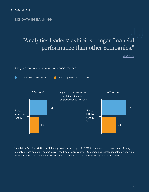#### **BIG DATA IN BANKING**

### "Analytics leaders<sup>1</sup> exhibit stronger financial performance than other companies."

*[McKinsey](https://www.mckinsey.com/~/media/McKinsey/Industries/Financial%20Services/Our%20Insights/Data%20sheet%20Advanced%20analytics/Data-sheet-advanced-analytics.pdf)*

#### Analytics maturity correlation to financial metrics



1 Analytics Quatient (AQ) is a McKinsey solution developed in 2017 to standardize the measure of analytics maturity across sectors. The AQ survey has been taken by over 120 companies, across industries worldwide. Analytics leaders are defined as the top quartile of companies as determined by overall AQ score.

 $7 \bullet$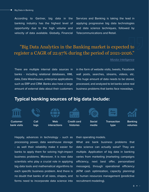According to Gartner, big data in the banking industry has the highest level of opportunity due to the high volume and velocity of data available. Globally, Financial Services and Banking is taking the lead in applying progressive big data technologies and data science techniques, followed by Telecommunications and Retail.

#### "Big Data Analytics in the Banking market is expected to register a CAGR of 22.97% during the period of 2021-2026."

#### *[Mordor Intelligence](https://www.mordorintelligence.com/industry-reports/big-data-in-banking-industry)*

There are multiple internal data sources in banks - including relational databases, XML data, Data Warehouses, enterprise applications such as ERP and CRM. Banks also have a large amount of external data about their customers

in the form of website visits, tweets, Facebook wall posts, searches, streams, videos, etc. This huge amount of data needs to be stored, processed, and analyzed to let banks solve real business problems that banks face nowadays.

#### **Typical banking sources of big data include:**



Happily, advances in technology - such as processing power, data warehouse storage - as well their reliability make it easier for banks to apply them for solving high-impact business problems. Moreover, it is now data scientists who play a crucial role in applying big data tools and mathematical algorithms to each specific business problem. And there is no doubt that banks of all sizes, shapes, and forms need to incorporate data science into

their operating models.

What are bank business problems that data science can actually solve? They are multiple. Application of big data in banking varies from marketing (marketing campaigns efficiency, next best offer, personalized messages), through operational efficiency (ATM cash optimization, capacity planning) to human resources management (predictive recruitment modeling).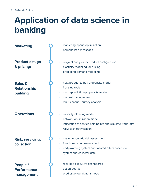# **Application of data science in banking**

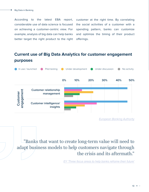According to the latest EBA report, considerable use of data science is focused on achieving a customer-centric view. For example, analysis of big data can help banks better target the right product to the right customer at the right time. By correlating the social activities of a customer with a spending pattern, banks can customize and optimize the timing of their product offerings.

#### **Current use of Big Data Analytics for customer engagement purposes**



*[European Banking Authority](https://www.eba.europa.eu/sites/default/documents/files/document_library/Final%20Report%20on%20Big%20Data%20and%20Advanced%20Analytics.pdf)*

"Banks that want to create long-term value will need to adapt business models to help customers navigate through the crisis and its aftermath."

*[EY 'Three focus areas to help banks reframe their future'](https://www.ey.com/en_ee/banking-capital-markets/three-focus-areas-to-help-banks-reframe-their-future)*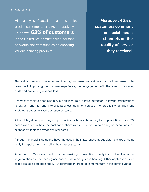Also, analysis of social media helps banks predict customer churn. As the study by EY shows, **63% of customers** in the United States trust online personal networks and communities on choosing various banking products.

**Moreover, 45% of customers comment on social media channels on the quality of service they received.**

The ability to monitor customer sentiment gives banks early signals - and allows banks to be proactive in improving the customer experience, their engagement with the brand, thus saving costs and preventing revenue loss.

Analytics techniques can also play a significant role in fraud detection - allowing organizations to extract, analyze, and interpret business data to increase the probability of fraud and implement effective fraud detection systems.

All in all, big data opens huge opportunities for banks. According to EY predictions, by 2030, banks will deepen their personal connections with customers via data analysis techniques that might seem fantastic by today's standards.

Although financial institutions have increased their awareness about data-field tools, some analytics applications are still in their nascent stage.

According to McKinsey, credit risk underwriting, transactional analytics, and multi-channel segmentation are the leading use cases of data analytics in banking. Other applications such as fee leakage detection and MROI optimization are to gain momentum in the coming years.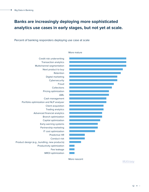#### **Banks are increasingly deploying more sophisticated analytics use cases in early stages, but not yet at scale.**

#### Percent of banking responders deploying use case at scale



More mature

*[McKinsey](https://www.mckinsey.com/~/media/McKinsey/Industries/Financial%20Services/Our%20Insights/Data%20sheet%20Advanced%20analytics/Data-sheet-advanced-analytics.pdf)*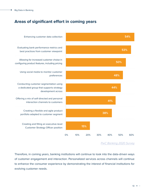#### **Areas of significant effort in coming years**



*[PwC Banking 2020 Survey](https://www.pwc.com/gx/en/banking-capital-markets/banking-2020/assets/pwc-retail-banking-2020-evolution-or-revolution.pdf)*

Therefore, in coming years, banking institutions will continue to look into the data-driven ways of customer engagement and interaction. Personalized services across channels will continue to enhance the consumer experience by demonstrating the interest of financial institutions for evolving customer needs.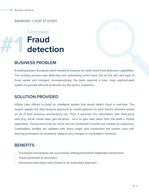#### **BANKING. CASE STUDIES**

### **Fraud detection Case study #1**

#### **BUSINESS PROBLEM**

A leading Eastern European bank needed to improve its credit cards fraud detection capabilities. The existing process was detecting and preventing some fraud, but as the size and type of fraud varied and changed correspondingly, the bank required a new, more sophisticated system to provide efficient protection for the bank's customers.

#### **SOLUTION PROVIDED**

InData Labs offered to build an intelligent system that would detect fraud in real-time. The system applies the data analysis approach to create patterns on each client's behavior based on all of their previous transactions live. Then it enriches this information with third-party data (e.g. social media data, geo-location) - such as geo data taken from the bank`s mobile application. Transactions that do not fit into the cardholder's profile are marked as suspicious. Cardholders` profiles are updated with every single new transaction the system uses selflearning techniques to constantly adapt to any changes in cardholders' behavior.

- Fraudulent transactions are successfully distinguished from legitimate transactions
- Fraud prevented or minimized
- Decreased operating costs thanks to an automated approach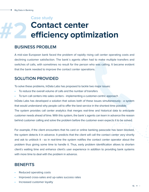### **Contact center efficiency optimization Case study #2**

#### **BUSINESS PROBLEM**

A mid-size European bank faced the problem of rapidly rising call center operating costs and declining customer satisfaction. The bank`s agents often had to make multiple transfers and switches of calls, with sometimes no result for the person who was calling. It became evident that the bank needed to improve the contact center operations.

#### **SOLUTION PROVIDED**

To solve these problems, InData Labs has proposed to tackle two major issues:

- To reduce the overall volume of calls and the number of transfers
- To turn call centers into sales centers implementing a customer-centric approach

InData Labs has developed a solution that solves both of these issues simultaneously - a system that would understand why people call to offer the best service in the shortest time possible. The system provides call center analytics that merges real-time and historical data to anticipate customer needs ahead of time. With this system, the bank`s agents can learn in advance the reason behind customer calling and solve the problem before the customer even expects it to be solved.

For example, if the client encounters that his card or online banking passcode has been blocked, the system detects it in advance. It predicts that the client will call the contact center very shortly and ask to unblock it - so in real-time the system notifies the contact center operator about the problem thus giving some time to handle it. Thus, early problem identification allows to shorten client`s waiting time and enhance client`s user experience in addition to providing bank systems with more time to deal with the problem in advance.

- Reduced operating costs
- Improved cross-sales and up-sales success rates
- Increased customer loyalty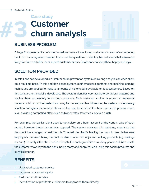### **Customer churn analysis Case study #3**

#### **BUSINESS PROBLEM**

A large European bank confronted a serious issue - it was losing customers in favor of a competing bank. So its management needed to answer the question - to identify the customers that were most likely to churn and offer them superb customer service in advance to keep them happy and loyal.

#### **SOLUTION PROVIDED**

InData Labs has developed a customer churn prevention system delivering analytics on each client on a real-time basis. In this decision-based system, mathematical algorithms and machine learning techniques are applied to massive amounts of historic data available on lost customers. Based on this data, a churn model is developed. The system identifies very accurate behavioral patterns and applies them successfully to existing customers. Each customer is given a score that measures potential attrition on the basis of as many factors as possible. Moreover, the system models every situation and gives recommendations on the next best action for the customer to prevent churn (e.g., providing competing offers such as higher rates, fewer fees, or even a gift).

For example, the bank's client used to get salary on a bank account at the certain date of each month, however these transactions stopped. The system analyzes it in real-time, assuming that the client has changed or lost the job. To avoid the client`s leaving the bank to use his/her new employer`s preferred bank, the bank is able to offer him adjacent banking products (e.g. savings account). To verify if the client has lost his job, the bank gives him a courtesy phone call. As a result, the customer stays loyal to the bank, being ready and happy to keep using this bank's products and services later on.

#### **BENEFITS**

- Upgraded customer service
- Increased customer loyalty
- Reduced attrition rates
- Identification of profitable customers to approach them directly

**#4**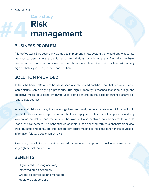### **Risk management Case study #4**

#### **BUSINESS PROBLEM**

A large Western European bank wanted to implement a new system that would apply accurate methods to determine the credit risk of an individual or a legal entity. Basically, the bank needed a tool that would analyze credit applicants and determine their risk level with a very high probability in a very short period of time.

#### **SOLUTION PROVIDED**

To help the bank, InData Labs has developed a sophisticated analytical tool that is able to predict loan defaults with a very high probability. The high probability is reached thanks to a high-end predictive model developed by InData Labs` data scientists on the basis of enriched analysis of various data sources.

In terms of historical data, the system gathers and analyzes internal sources of information in the bank, such as credit reports and applications, repayment rates of credit applicants, and any information on default and recovery for borrowers. It also analyzes data from emails, website usage, and call centers. This sophisticated analysis is then enriched with data analytics from local credit bureaus and behavioral information from social media activities and other online sources of information (blogs, Google search, etc.).

As a result, the solution can provide the credit score for each applicant almost in real-time and with very high predictability of risk.

- Higher credit scoring accuracy
- Improved credit decisions
- Credit risk-controlled and managed
- Healthy credit portfolio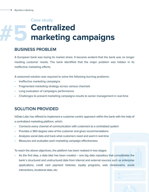### **Centralized marketing campaigns Case study #5**

#### **BUSINESS PROBLEM**

A European bank was losing its market share. It became evident that the bank was no longer meeting customer needs. The bank identified that the major problem was hidden in its ineffective marketing efforts.

A seasoned solution was required to solve the following burning problems:

- Ineffective marketing campaigns
- Fragmented marketing strategy across various channels
- Long evaluation of campaigns performance
- Challenges to present marketing campaigns results to senior management in real-time

#### **SOLUTION PROVIDED**

InData Labs has offered to implement a customer-centric approach within the bank with the help of a centralized marketing platform, which:

- Connects every channel of communication with customers to a centralized system
- Provides a 360-degree view of the customer and gives recommendations
- Analyzes social data and track what customers need and want in real-time
- Measures and evaluates each marketing campaign effectiveness

To reach the above objectives, the platform has been realized in two stages:

As the first step, a data lake has been created  $-$  one big data repository that consolidates the bank`s structured and unstructured data from internal and external sources such as enterprise applications, credit card payment histories, loyalty programs, web clickstreams, social interactions, locational data, etc.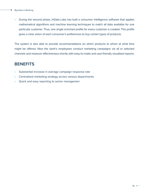• During the second phase, InData Labs has built a consumer intelligence software that applies mathematical algorithms and machine learning techniques to match all data available for one particular customer. Thus, one single enriched profile for every customer is created. This profile gives a clear vision of each consumer's preferences to buy certain types of products.

The system is also able to provide recommendations on which products to whom at what time might be offered. Now the bank's employees conduct marketing campaigns via all or selected channels and measure effectiveness shortly with easy-to-make and user-friendly visualized reports.

- Substantial increase in average campaign response rate
- Centralized marketing strategy across various departments
- Quick and easy reporting to senior managemen